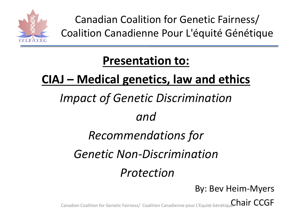

Canadian Coalition for Genetic Fairness/ Coalition Canadienne Pour L'équité Génétique

### **Presentation to:**

### **CIAJ – Medical genetics, law and ethics**

## *Impact of Genetic Discrimination*

#### *and*

### *Recommendations for*

### *Genetic Non-Discrimination*

#### *Protection*

By: Bev Heim-Myers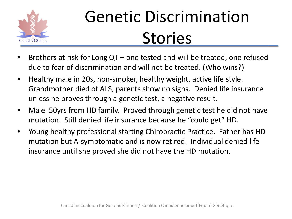

# Genetic Discrimination **Stories**

- Brothers at risk for Long QT one tested and will be treated, one refused due to fear of discrimination and will not be treated. (Who wins?)
- Healthy male in 20s, non-smoker, healthy weight, active life style. Grandmother died of ALS, parents show no signs. Denied life insurance unless he proves through a genetic test, a negative result.
- Male 50 yrs from HD family. Proved through genetic test he did not have mutation. Still denied life insurance because he "could get" HD.
- Young healthy professional starting Chiropractic Practice. Father has HD mutation but A-symptomatic and is now retired. Individual denied life insurance until she proved she did not have the HD mutation.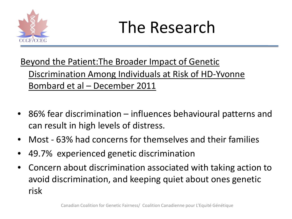

## The Research

#### Beyond the Patient:The Broader Impact of Genetic Discrimination Among Individuals at Risk of HD-Yvonne Bombard et al – December 2011

- 86% fear discrimination influences behavioural patterns and can result in high levels of distress.
- Most 63% had concerns for themselves and their families
- 49.7% experienced genetic discrimination
- Concern about discrimination associated with taking action to avoid discrimination, and keeping quiet about ones genetic risk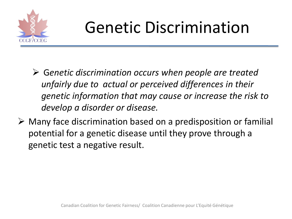

# Genetic Discrimination

- G*enetic discrimination occurs when people are treated unfairly due to actual or perceived differences in their genetic information that may cause or increase the risk to develop a disorder or disease.*
- $\triangleright$  Many face discrimination based on a predisposition or familial potential for a genetic disease until they prove through a genetic test a negative result.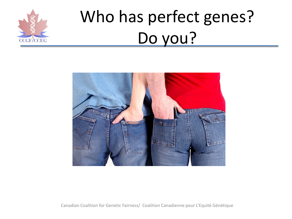

# Who has perfect genes? Do you?

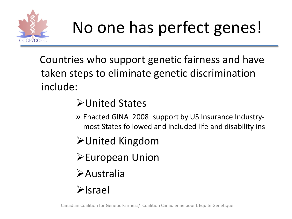

# No one has perfect genes!

Countries who support genetic fairness and have taken steps to eliminate genetic discrimination include:

#### United States

- » Enacted GINA 2008–support by US Insurance Industrymost States followed and included life and disability ins
- United Kingdom
- European Union
- Australia
- Israel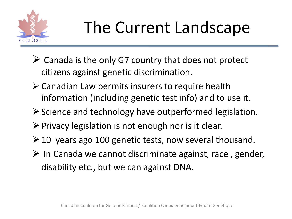

# The Current Landscape

- $\triangleright$  Canada is the only G7 country that does not protect citizens against genetic discrimination.
- $\triangleright$  Canadian Law permits insurers to require health information (including genetic test info) and to use it.
- $\triangleright$  Science and technology have outperformed legislation.
- $\triangleright$  Privacy legislation is not enough nor is it clear.
- $\geq 10$  years ago 100 genetic tests, now several thousand.
- $\triangleright$  In Canada we cannot discriminate against, race, gender, disability etc., but we can against DNA.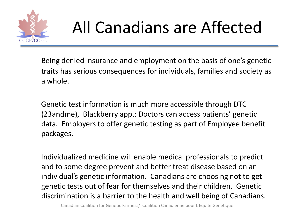

# All Canadians are Affected

Being denied insurance and employment on the basis of one's genetic traits has serious consequences for individuals, families and society as a whole.

Genetic test information is much more accessible through DTC (23andme), Blackberry app.; Doctors can access patients' genetic data. Employers to offer genetic testing as part of Employee benefit packages.

Individualized medicine will enable medical professionals to predict and to some degree prevent and better treat disease based on an individual's genetic information. Canadians are choosing not to get genetic tests out of fear for themselves and their children. Genetic discrimination is a barrier to the health and well being of Canadians.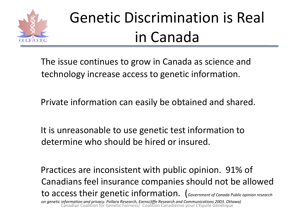

## Genetic Discrimination is Real in Canada

The issue continues to grow in Canada as science and technology increase access to genetic information.

Private information can easily be obtained and shared.

It is unreasonable to use genetic test information to determine who should be hired or insured.

Practices are inconsistent with public opinion. 91% of Canadians feel insurance companies should not be allowed to access their genetic information. (*Government of Canada Public opinion research on genetic information and privacy. Pollara Research, Earnscliffe Research and Communications 2003. Ottawa)* Canadian Coalition for Genetic Fairness/ Coalition Canadienne pour L'Equité Génétique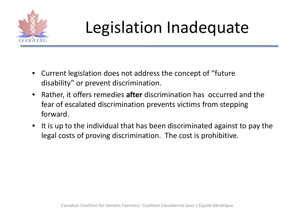

# Legislation Inadequate

- Current legislation does not address the concept of "future disability" or prevent discrimination.
- Rather, it offers remedies **after** discrimination has occurred and the fear of escalated discrimination prevents victims from stepping forward.
- It is up to the individual that has been discriminated against to pay the legal costs of proving discrimination. The cost is prohibitive.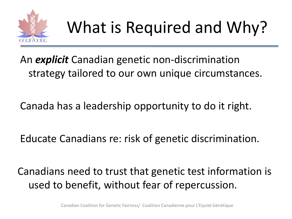

An *explicit* Canadian genetic non-discrimination strategy tailored to our own unique circumstances.

Canada has a leadership opportunity to do it right.

Educate Canadians re: risk of genetic discrimination.

Canadians need to trust that genetic test information is used to benefit, without fear of repercussion.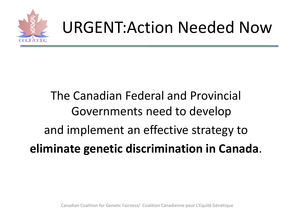

## URGENT:Action Needed Now

## The Canadian Federal and Provincial Governments need to develop and implement an effective strategy to **eliminate genetic discrimination in Canada**.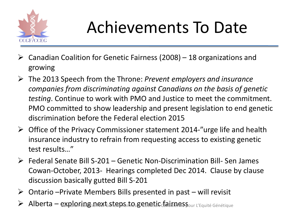

# Achievements To Date

- $\triangleright$  Canadian Coalition for Genetic Fairness (2008) 18 organizations and growing
- The 2013 Speech from the Throne: *Prevent employers and insurance companies from discriminating against Canadians on the basis of genetic testing*. Continue to work with PMO and Justice to meet the commitment. PMO committed to show leadership and present legislation to end genetic discrimination before the Federal election 2015
- $\triangleright$  Office of the Privacy Commissioner statement 2014-"urge life and health insurance industry to refrain from requesting access to existing genetic test results…"
- $\triangleright$  Federal Senate Bill S-201 Genetic Non-Discrimination Bill- Sen James Cowan-October, 2013- Hearings completed Dec 2014. Clause by clause discussion basically gutted Bill S-201
- $\triangleright$  Ontario –Private Members Bills presented in past will revisit
- $A$ lberta explioring inext steps ito genetic  $f$ airion spour L'Equité Génétique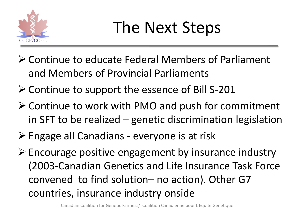

# The Next Steps

- Continue to educate Federal Members of Parliament and Members of Provincial Parliaments
- Continue to support the essence of Bill S-201
- $\triangleright$  Continue to work with PMO and push for commitment in SFT to be realized – genetic discrimination legislation
- Engage all Canadians everyone is at risk
- $\triangleright$  Encourage positive engagement by insurance industry (2003-Canadian Genetics and Life Insurance Task Force convened to find solution– no action). Other G7 countries, insurance industry onside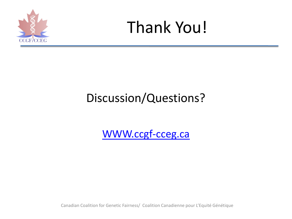



### Discussion/Questions?

[WWW.ccgf-cceg.ca](http://www.ccgf-cceg.ca/)